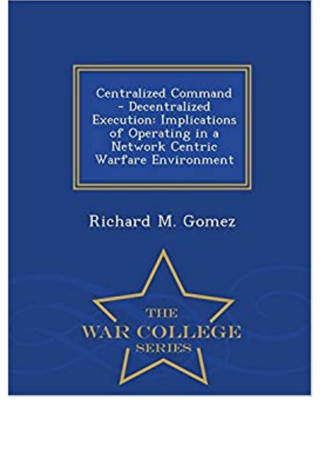**Centralized Command** - Decentralized **Execution: Implications** of Operating in a<br>Network Centric Warfare Environment

## Richard M. Gomez

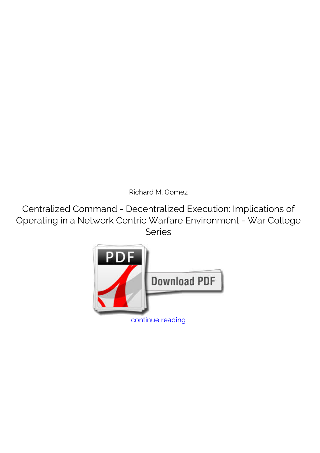*Richard M. Gomez*

**Centralized Command - Decentralized Execution: Implications of Operating in a Network Centric Warfare Environment - War College Series**

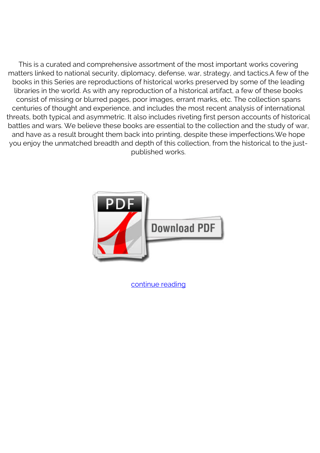This is a curated and comprehensive assortment of the most important works covering matters linked to national security, diplomacy, defense, war, strategy, and tactics.A few of the books in this Series are reproductions of historical works preserved by some of the leading libraries in the world. As with any reproduction of a historical artifact, a few of these books consist of missing or blurred pages, poor images, errant marks, etc. The collection spans centuries of thought and experience, and includes the most recent analysis of international threats, both typical and asymmetric. It also includes riveting first person accounts of historical battles and wars. We believe these books are essential to the collection and the study of war, and have as a result brought them back into printing, despite these imperfections.We hope you enjoy the unmatched breadth and depth of this collection, from the historical to the justpublished works.



[continue reading](http://bit.ly/2Tge8Fv)